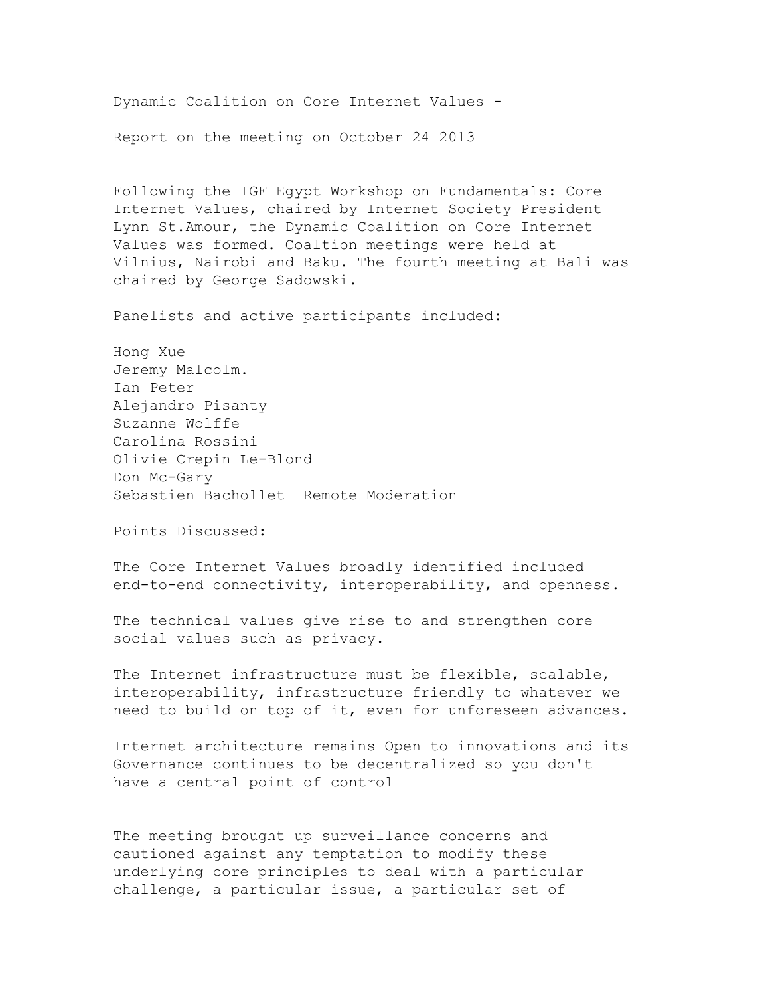Dynamic Coalition on Core Internet Values

Report on the meeting on October 24 2013

Following the IGF Egypt Workshop on Fundamentals: Core Internet Values, chaired by Internet Society President Lynn St.Amour, the Dynamic Coalition on Core Internet Values was formed. Coaltion meetings were held at Vilnius, Nairobi and Baku. The fourth meeting at Bali was chaired by George Sadowski.

Panelists and active participants included:

Hong Xue Jeremy Malcolm. Ian Peter Alejandro Pisanty Suzanne Wolffe Carolina Rossini Olivie Crepin Le-Blond Don Mc-Gary Sebastien Bachollet Remote Moderation

Points Discussed:

The Core Internet Values broadly identified included end-to-end connectivity, interoperability, and openness.

The technical values give rise to and strengthen core social values such as privacy.

The Internet infrastructure must be flexible, scalable, interoperability, infrastructure friendly to whatever we need to build on top of it, even for unforeseen advances.

Internet architecture remains Open to innovations and its Governance continues to be decentralized so you don't have a central point of control

The meeting brought up surveillance concerns and cautioned against any temptation to modify these underlying core principles to deal with a particular challenge, a particular issue, a particular set of